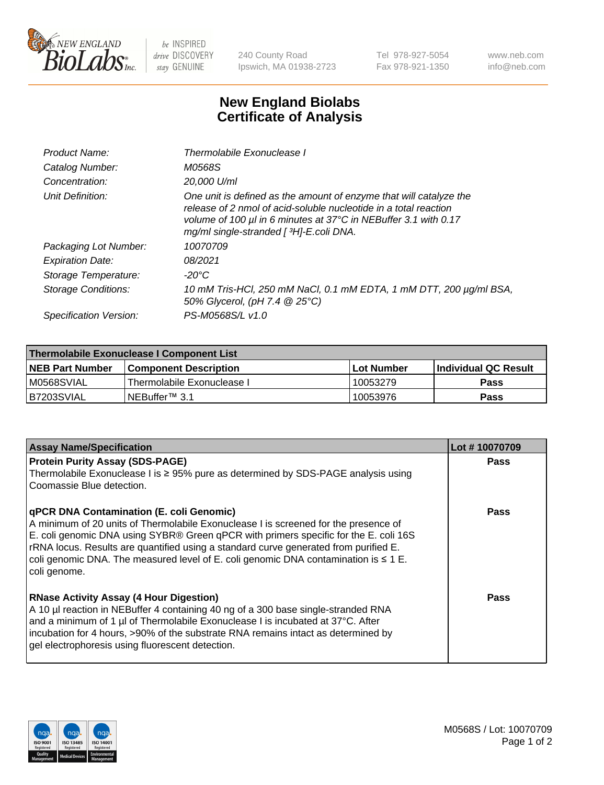

 $be$  INSPIRED drive DISCOVERY stay GENUINE

240 County Road Ipswich, MA 01938-2723 Tel 978-927-5054 Fax 978-921-1350 www.neb.com info@neb.com

## **New England Biolabs Certificate of Analysis**

| Product Name:              | Thermolabile Exonuclease I                                                                                                                                                                                                                          |
|----------------------------|-----------------------------------------------------------------------------------------------------------------------------------------------------------------------------------------------------------------------------------------------------|
| Catalog Number:            | M0568S                                                                                                                                                                                                                                              |
| Concentration:             | 20.000 U/ml                                                                                                                                                                                                                                         |
| Unit Definition:           | One unit is defined as the amount of enzyme that will catalyze the<br>release of 2 nmol of acid-soluble nucleotide in a total reaction<br>volume of 100 µl in 6 minutes at 37°C in NEBuffer 3.1 with 0.17<br>mg/ml single-stranded [3H]-E.coli DNA. |
| Packaging Lot Number:      | 10070709                                                                                                                                                                                                                                            |
| <b>Expiration Date:</b>    | 08/2021                                                                                                                                                                                                                                             |
| Storage Temperature:       | $-20^{\circ}$ C                                                                                                                                                                                                                                     |
| <b>Storage Conditions:</b> | 10 mM Tris-HCl, 250 mM NaCl, 0.1 mM EDTA, 1 mM DTT, 200 µg/ml BSA,<br>50% Glycerol, (pH 7.4 @ 25°C)                                                                                                                                                 |
| Specification Version:     | PS-M0568S/L v1.0                                                                                                                                                                                                                                    |

| Thermolabile Exonuclease I Component List |                              |            |                       |  |  |
|-------------------------------------------|------------------------------|------------|-----------------------|--|--|
| <b>NEB Part Number</b>                    | <b>Component Description</b> | Lot Number | ∣Individual QC Result |  |  |
| M0568SVIAL                                | Thermolabile Exonuclease I   | 10053279   | <b>Pass</b>           |  |  |
| B7203SVIAL                                | $INEB$ uffer™ 3.1            | 10053976   | Pass                  |  |  |

| <b>Assay Name/Specification</b>                                                                                                                                                                                                                                                                                                                                                                                                    | Lot #10070709 |
|------------------------------------------------------------------------------------------------------------------------------------------------------------------------------------------------------------------------------------------------------------------------------------------------------------------------------------------------------------------------------------------------------------------------------------|---------------|
| <b>Protein Purity Assay (SDS-PAGE)</b><br>Thermolabile Exonuclease I is $\geq$ 95% pure as determined by SDS-PAGE analysis using<br>Coomassie Blue detection.                                                                                                                                                                                                                                                                      | <b>Pass</b>   |
| <b>qPCR DNA Contamination (E. coli Genomic)</b><br>A minimum of 20 units of Thermolabile Exonuclease I is screened for the presence of<br>E. coli genomic DNA using SYBR® Green qPCR with primers specific for the E. coli 16S<br>rRNA locus. Results are quantified using a standard curve generated from purified E.<br>coli genomic DNA. The measured level of E. coli genomic DNA contamination is $\leq 1$ E.<br>coli genome. | <b>Pass</b>   |
| <b>RNase Activity Assay (4 Hour Digestion)</b><br>A 10 µl reaction in NEBuffer 4 containing 40 ng of a 300 base single-stranded RNA<br>and a minimum of 1 µl of Thermolabile Exonuclease I is incubated at 37°C. After<br>incubation for 4 hours, >90% of the substrate RNA remains intact as determined by<br>gel electrophoresis using fluorescent detection.                                                                    | Pass          |